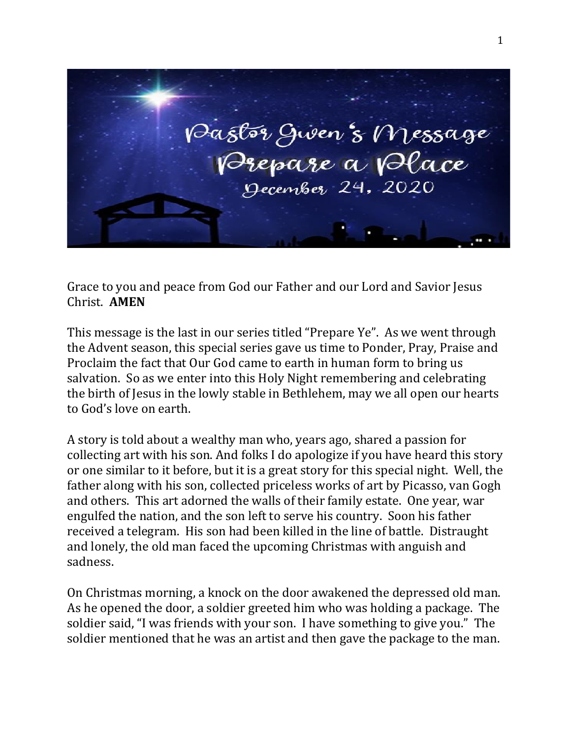

Grace to you and peace from God our Father and our Lord and Savior Jesus Christ. **AMEN**

This message is the last in our series titled "Prepare Ye". As we went through the Advent season, this special series gave us time to Ponder, Pray, Praise and Proclaim the fact that Our God came to earth in human form to bring us salvation. So as we enter into this Holy Night remembering and celebrating the birth of Jesus in the lowly stable in Bethlehem, may we all open our hearts to God's love on earth.

A story is told about a wealthy man who, years ago, shared a passion for collecting art with his son. And folks I do apologize if you have heard this story or one similar to it before, but it is a great story for this special night. Well, the father along with his son, collected priceless works of art by Picasso, van Gogh and others. This art adorned the walls of their family estate. One year, war engulfed the nation, and the son left to serve his country. Soon his father received a telegram. His son had been killed in the line of battle. Distraught and lonely, the old man faced the upcoming Christmas with anguish and sadness.

On Christmas morning, a knock on the door awakened the depressed old man. As he opened the door, a soldier greeted him who was holding a package. The soldier said, "I was friends with your son. I have something to give you." The soldier mentioned that he was an artist and then gave the package to the man.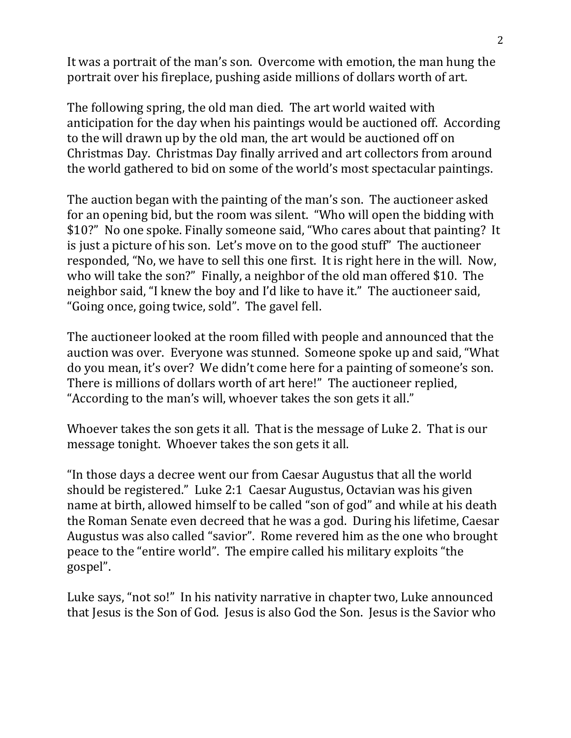It was a portrait of the man's son. Overcome with emotion, the man hung the portrait over his fireplace, pushing aside millions of dollars worth of art.

The following spring, the old man died. The art world waited with anticipation for the day when his paintings would be auctioned off. According to the will drawn up by the old man, the art would be auctioned off on Christmas Day. Christmas Day finally arrived and art collectors from around the world gathered to bid on some of the world's most spectacular paintings.

The auction began with the painting of the man's son. The auctioneer asked for an opening bid, but the room was silent. "Who will open the bidding with \$10?" No one spoke. Finally someone said, "Who cares about that painting? It is just a picture of his son. Let's move on to the good stuff" The auctioneer responded, "No, we have to sell this one first. It is right here in the will. Now, who will take the son?" Finally, a neighbor of the old man offered \$10. The neighbor said, "I knew the boy and I'd like to have it." The auctioneer said, "Going once, going twice, sold". The gavel fell.

The auctioneer looked at the room filled with people and announced that the auction was over. Everyone was stunned. Someone spoke up and said, "What do you mean, it's over? We didn't come here for a painting of someone's son. There is millions of dollars worth of art here!" The auctioneer replied, "According to the man's will, whoever takes the son gets it all."

Whoever takes the son gets it all. That is the message of Luke 2. That is our message tonight. Whoever takes the son gets it all.

"In those days a decree went our from Caesar Augustus that all the world should be registered." Luke 2:1 Caesar Augustus, Octavian was his given name at birth, allowed himself to be called "son of god" and while at his death the Roman Senate even decreed that he was a god. During his lifetime, Caesar Augustus was also called "savior". Rome revered him as the one who brought peace to the "entire world". The empire called his military exploits "the gospel".

Luke says, "not so!" In his nativity narrative in chapter two, Luke announced that Jesus is the Son of God. Jesus is also God the Son. Jesus is the Savior who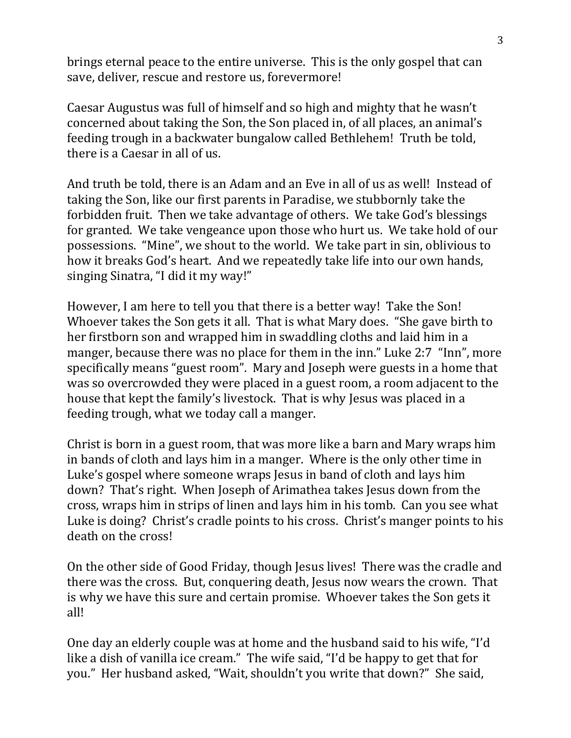brings eternal peace to the entire universe. This is the only gospel that can save, deliver, rescue and restore us, forevermore!

Caesar Augustus was full of himself and so high and mighty that he wasn't concerned about taking the Son, the Son placed in, of all places, an animal's feeding trough in a backwater bungalow called Bethlehem! Truth be told, there is a Caesar in all of us.

And truth be told, there is an Adam and an Eve in all of us as well! Instead of taking the Son, like our first parents in Paradise, we stubbornly take the forbidden fruit. Then we take advantage of others. We take God's blessings for granted. We take vengeance upon those who hurt us. We take hold of our possessions. "Mine", we shout to the world. We take part in sin, oblivious to how it breaks God's heart. And we repeatedly take life into our own hands, singing Sinatra, "I did it my way!"

However, I am here to tell you that there is a better way! Take the Son! Whoever takes the Son gets it all. That is what Mary does. "She gave birth to her firstborn son and wrapped him in swaddling cloths and laid him in a manger, because there was no place for them in the inn." Luke 2:7 "Inn", more specifically means "guest room". Mary and Joseph were guests in a home that was so overcrowded they were placed in a guest room, a room adjacent to the house that kept the family's livestock. That is why Jesus was placed in a feeding trough, what we today call a manger.

Christ is born in a guest room, that was more like a barn and Mary wraps him in bands of cloth and lays him in a manger. Where is the only other time in Luke's gospel where someone wraps Jesus in band of cloth and lays him down? That's right. When Joseph of Arimathea takes Jesus down from the cross, wraps him in strips of linen and lays him in his tomb. Can you see what Luke is doing? Christ's cradle points to his cross. Christ's manger points to his death on the cross!

On the other side of Good Friday, though Jesus lives! There was the cradle and there was the cross. But, conquering death, Jesus now wears the crown. That is why we have this sure and certain promise. Whoever takes the Son gets it all!

One day an elderly couple was at home and the husband said to his wife, "I'd like a dish of vanilla ice cream." The wife said, "I'd be happy to get that for you." Her husband asked, "Wait, shouldn't you write that down?" She said,